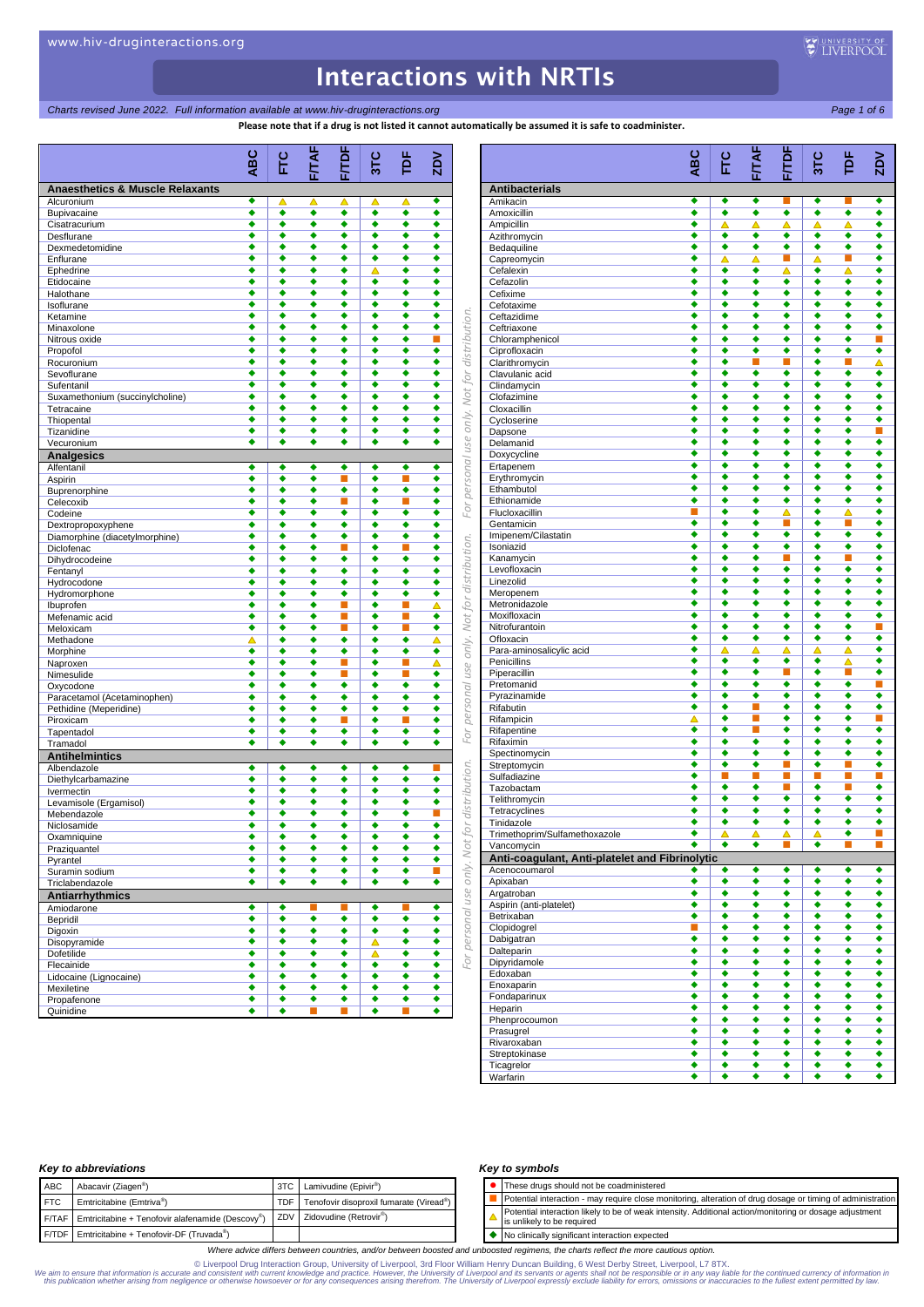## *Charts revised June 2022. Full information available at www.hiv-druginteractions.org Page 1 of 6*

**Please note that if a drug is not listed it cannot automatically be assumed it is safe to coadminister.**

|                                               | <b>ABC</b> | Ec                   | FITAF  | <b>F/TDF</b>         | 31C    | þF                         | <b>ZDV</b> |               |                                              | ABC    |
|-----------------------------------------------|------------|----------------------|--------|----------------------|--------|----------------------------|------------|---------------|----------------------------------------------|--------|
| <b>Anaesthetics &amp; Muscle Relaxants</b>    |            |                      |        |                      |        |                            |            |               | <b>Antibacterials</b>                        |        |
| Alcuronium                                    | ٠          | Δ                    | Δ      | △                    | ▵      | ▵                          | ٠          |               | Amikacin                                     | ٠      |
| Bupivacaine                                   | ٠          | ٠                    | ٠      | ٠                    | ٠      | ٠                          | ٠          |               | Amoxicillin                                  | ٠      |
| Cisatracurium                                 | ٠<br>٠     | ٠<br>٠               | ٠<br>٠ | ٠<br>٠               | ٠<br>٠ | ٠<br>٠                     | ٠<br>٠     |               | Ampicillin                                   | ٠<br>٠ |
| Desflurane<br>Dexmedetomidine                 | ٠          | ٠                    | ٠      | ٠                    | ٠      | ٠                          | ٠          |               | Azithromycin<br>Bedaquiline                  | ٠      |
| Enflurane                                     | ٠          | ٠                    | ٠      | ٠                    | ٠      | ٠                          | ٠          |               | Capreomycin                                  | ٠      |
| Ephedrine                                     | ٠          | ٠                    | ٠      | ٠                    | Δ      | ٠                          | ٠          |               | Cefalexin                                    | ٠      |
| Etidocaine                                    | ٠          | ٠                    | ٠      | ٠                    | ٠      | ٠                          | ٠          |               | Cefazolin                                    | ٠      |
| Halothane                                     | ٠          | ٠                    | ٠      | ٠                    | ٠      | ٠                          | ٠          |               | Cefixime                                     | ٠      |
| Isoflurane<br>Ketamine                        | ٠<br>٠     | ٠<br>٠               | ٠<br>٠ | ٠<br>٠               | ٠<br>٠ | ٠<br>٠                     | ٠<br>٠     |               | Cefotaxime<br>Ceftazidime                    | ٠<br>٠ |
| Minaxolone                                    | ٠          | ٠                    | ٠      | ٠                    | ٠      | ٠                          | ٠          |               | Ceftriaxone                                  | ٠      |
| Nitrous oxide                                 | ٠          | ٠                    | ٠      | ٠                    | ٠      | ٠                          | п          | distribution. | Chloramphenicol                              | ٠      |
| Propofol                                      | ٠          | $\overline{\bullet}$ | ٠      | $\overline{\bullet}$ | ٠      | ٠                          | ٠          |               | Ciprofloxacin                                | ٠      |
| Rocuronium                                    | ٠          | ٠                    | ٠      | ٠                    | ٠      | ٠                          | ٠          |               | Clarithromycin                               | ٠      |
| Sevoflurane                                   | ٠          | ٠                    | ٠      | ٠                    | ٠      | ٠                          | ٠          | for           | Clavulanic acid                              | ٠      |
| Sufentanil                                    | ٠<br>٠     | ٠<br>٠               | ٠<br>٠ | ٠<br>٠               | ٠<br>٠ | ٠<br>٠                     | ٠<br>٠     | Not           | Clindamycin                                  | ٠<br>٠ |
| Suxamethonium (succinylcholine)<br>Tetracaine | ٠          | ٠                    | ٠      | ٠                    | ٠      | ٠                          | ٠          |               | Clofazimine<br>Cloxacillin                   | ٠      |
| Thiopental                                    | ٠          | ٠                    | ٠      | ٠                    | ٠      | ٠                          | ٠          | only.         | Cycloserine                                  | ٠      |
| Tizanidine                                    | ٠          | ٠                    | ٠      | ٠                    | ٠      | ٠                          | ٠          |               | Dapsone                                      | ٠      |
| Vecuronium                                    | ٠          | ٠                    | ٠      | ٠                    | ٠      | ٠                          | ٠          | use           | Delamanid                                    | ٠      |
| <b>Analgesics</b>                             |            |                      |        |                      |        |                            |            |               | Doxycycline                                  | ٠      |
| Alfentanil                                    | ٠          | ٠                    | ٠      | ٠                    | ٠      | ٠                          | ٠          | personal      | Ertapenem                                    | ٠      |
| Aspirin                                       | ٠          | ٠                    | ٠      | П                    | ٠      | П                          | ٠          |               | Erythromycin                                 | ٠      |
| Buprenorphine                                 | ٠<br>٠     | ٠<br>٠               | ٠<br>٠ | ٠                    | ٠<br>٠ | $\overline{\bullet}$<br>H. | ٠<br>٠     |               | Ethambutol<br>Ethionamide                    | ٠<br>٠ |
| Celecoxib<br>Codeine                          | ٠          | ٠                    | ٠      | ■<br>٠               | ٠      | ٠                          | ٠          | For           | Flucloxacillin                               | п      |
| Dextropropoxyphene                            | ٠          | ٠                    | ٠      | ٠                    | ٠      | ٠                          | ٠          |               | Gentamicin                                   | ٠      |
| Diamorphine (diacetylmorphine)                | ٠          | ٠                    | ٠      | ٠                    | ٠      | ٠                          | ٠          |               | Imipenem/Cilastatin                          | ٠      |
| Diclofenac                                    | ٠          | ٠                    | ٠      | Ξ                    | ٠      | ■                          | ٠          |               | Isoniazid                                    | ٠      |
| Dihydrocodeine                                | ٠          | ٠                    | ٠      | ٠                    | ٠      | ٠                          | ٠          |               | Kanamycin                                    | ٠      |
| Fentanyl                                      | ٠          | ٠                    | ٠      | ٠                    | ٠      | ٠                          | ٠          | distribution. | Levofloxacin<br>Linezolid                    | ٠<br>٠ |
| Hydrocodone<br>Hydromorphone                  | ٠<br>٠     | ٠<br>٠               | ٠<br>٠ | ٠<br>٠               | ٠<br>٠ | ٠<br>٠                     | ٠<br>٠     |               | Meropenem                                    | ٠      |
| Ibuprofen                                     | ٠          | ٠                    | ٠      | П                    | ٠      | ■                          | △          | Not for       | Metronidazole                                | ٠      |
| Mefenamic acid                                | ٠          | ٠                    | ٠      | П                    | ٠      | ■                          | ٠          |               | Moxifloxacin                                 | ٠      |
| Meloxicam                                     | ٠          | ٠                    | ٠      | m.                   | ٠      | п                          | ٠          |               | Nitrofurantoin                               | ٠      |
| Methadone                                     | ▵          | ٠                    | ٠      | ٠                    | ٠      | ٠                          | Δ          | only.         | Ofloxacin                                    | ٠      |
| Morphine                                      | ٠          | ٠                    | ٠      | ٠                    | ٠      | ٠                          | ٠          |               | Para-aminosalicylic acid                     | ٠<br>٠ |
| Naproxen<br>Nimesulide                        | ٠<br>٠     | ٠<br>٠               | ٠<br>٠ | П<br>ш               | ٠<br>٠ | г<br>п                     | Δ<br>٠     | use           | Penicillins<br>Piperacillin                  | ٠      |
| Oxycodone                                     | ٠          | ٠                    | ٠      | ٠                    | ٠      | ٠                          | ٠          |               | Pretomanid                                   | ٠      |
| Paracetamol (Acetaminophen)                   | ٠          | ٠                    | ٠      | ٠                    | ٠      | ٠                          | ٠          | personal      | Pyrazinamide                                 | ٠      |
| Pethidine (Meperidine)                        | ٠          | ٠                    | ٠      | ٠                    | ٠      | ٠                          | ٠          |               | Rifabutin                                    | ٠      |
| Piroxicam                                     | ٠          | ٠                    | ٠      | Ξ                    | ٠      | ▉                          | ٠          |               | Rifampicin                                   | △      |
| Tapentadol                                    | ٠          | ٠                    | ٠      | ٠                    | ٠      | ٠                          | ٠          | For           | Rifapentine                                  | ٠<br>٠ |
| Tramadol                                      | ٠          | ٠                    | ٠      | ٠                    | ٠      | ٠                          | ٠          |               | Rifaximin<br>Spectinomycin                   | ٠      |
| <b>Antihelmintics</b>                         | ٠          | ٠                    | ٠      | ٠                    | ٠      | ٠                          | п          |               | Streptomycin                                 | ٠      |
| Albendazole<br>Diethylcarbamazine             | ٠          | ٠                    | ٠      | ٠                    | ٠      | ٠                          | ٠          | distribution. | Sulfadiazine                                 | ٠      |
| Ivermectin                                    | ٠          | ٠                    | ٠      | ٠                    | ٠      | ٠                          | ٠          |               | Tazobactam                                   | ٠      |
| Levamisole (Ergamisol)                        | ٠          | ٠                    | ٠      | ٠                    | ٠      | ٠                          | ٠          |               | Telithromycin                                | ٠      |
| Mebendazole                                   | ٠          | $\overline{\bullet}$ | ٠      | ٠                    | ٠      | ٠                          |            |               | Tetracyclines                                | ٠      |
| Niclosamide                                   |            |                      |        |                      |        |                            |            |               | Tinidazole                                   | ٠      |
| Oxamniquine                                   | ٠          | ٠                    | ٠      | ٠                    | ٠      | ٠                          | ٠          |               | Trimethoprim/Sulfamethoxazole<br>Vancomycin  | ٠      |
| Praziquantel                                  | ٠<br>٠     | ٠<br>٠               | ٠<br>٠ | ٠<br>٠               | ٠<br>٠ | ٠<br>٠                     | ٠<br>٠     | Not fo        | Anti-coagulant, Anti-platelet and Fibrinolyt |        |
| Pyrantel<br>Suramin sodium                    | ٠          | ٠                    | ٠      | ٠                    | ٠      | ٠                          | п          |               | Acenocoumarol                                |        |
| Triclabendazole                               | ٠          | ٠                    | ٠      | ٠                    | ٠      | ٠                          | ٠          |               | Apixaban                                     | ٠      |
| <b>Antiarrhythmics</b>                        |            |                      |        |                      |        |                            |            | use only.     | Argatroban                                   | ٠      |
| Amiodarone                                    | ٠          | ٠                    | ш      | ш                    | ٠      | ш                          | ٠          |               | Aspirin (anti-platelet)                      | ٠      |
| Bepridil                                      | ٠          | ٠                    | ٠      | ٠                    | ٠      | ٠                          | ٠          | personal      | Betrixaban                                   | ٠      |
| Digoxin                                       | ٠          | ٠                    | ٠      | ٠                    | ٠      | ٠                          | ٠          |               | Clopidogrel                                  | П<br>٠ |
| Disopyramide                                  | ٠          | ٠                    | ٠      | ٠                    | Δ      | ٠                          | ٠          |               | Dabigatran<br>Dalteparin                     | ٠      |
| Dofetilide                                    | ٠<br>٠     | ٠<br>٠               | ٠<br>٠ | ٠<br>٠               | Δ<br>٠ | ٠<br>٠                     | ٠<br>٠     | For           | Dipyridamole                                 | ۰      |
| Flecainide<br>Lidocaine (Lignocaine)          | ٠          | ٠                    | ٠      | ٠                    | ٠      | ٠                          | ٠          |               | Edoxaban                                     | ٠      |
| Mexiletine                                    | ٠          | ٠                    | ٠      | ٠                    | ٠      | ٠                          | ٠          |               | Enoxaparin                                   | ۰      |
| Propafenone                                   | ٠          | ٠                    | ٠      | ٠                    | ٠      | ٠                          | ٠          |               | Fondaparinux                                 | ٠      |
| Quinidine                                     | ٠          | ٠                    | П      | П                    | ٠      | П                          | ٠          |               | Heparin                                      | ۰      |
|                                               |            |                      |        |                      |        |                            |            |               | Phenprocoumon                                | ٠      |

|                                                              | <b>ABC</b>           | Ë                         | FITAF  | <b>F/TDF</b>         | 31C    | Ĕ                         | $\frac{2}{3}$        |
|--------------------------------------------------------------|----------------------|---------------------------|--------|----------------------|--------|---------------------------|----------------------|
| <b>Antibacterials</b>                                        |                      |                           |        |                      |        |                           |                      |
| Amikacin                                                     | ٠                    | ٠                         | ٠      | п                    | ٠      | п                         | ٠                    |
| Amoxicillin<br>Ampicillin                                    | ٠<br>٠               | $\overline{\bullet}$<br>Δ | ٠<br>△ | ٠<br>△               | ٠<br>△ | ٠<br>Δ                    | ٠<br>٠               |
| Azithromycin                                                 | ٠                    | ٠                         | ٠      | ٠                    | ٠      | ٠                         | ٠                    |
| Bedaquiline                                                  | ٠                    | ٠                         | ٠      | ٠                    | ٠      | ٠                         | ٠                    |
| Capreomycin                                                  | ٠                    | Δ                         | Δ      | П                    | Δ      | п                         | ◆                    |
| Cefalexin                                                    | ٠                    | $\overline{\bullet}$      | ٠      | Δ                    | ٠      | Δ                         | $\overline{\bullet}$ |
| Cefazolin<br>Cefixime                                        | ٠<br>٠               | ٠<br>٠                    | ٠<br>٠ | ٠<br>٠               | ٠<br>٠ | ٠<br>٠                    | ٠<br>٠               |
| Cefotaxime                                                   | ٠                    | ٠                         | ٠      | ٠                    | ٠      | ٠                         | ٠                    |
| Ceftazidime                                                  | ٠                    | ٠                         | ٠      | ٠                    | ٠      | ٠                         | ٠                    |
| Ceftriaxone                                                  | ٠                    | ٠                         | ٠      | ٠                    | ٠      | ٠                         | ٠                    |
| Chloramphenicol                                              | ٠                    | ٠                         | ٠      | ٠                    | ٠      | ٠                         |                      |
| Ciprofloxacin<br>Clarithromycin                              | ٠<br>٠               | $\overline{\bullet}$<br>٠ | ٠<br>П | ٠<br>п               | ٠<br>٠ | ٠<br>п                    | ٠<br>Δ               |
| Clavulanic acid                                              | ٠                    | ٠                         | ٠      | ٠                    | ٠      | ٠                         | ٠                    |
| Clindamycin                                                  | ٠                    | ٠                         | ٠      | ٠                    | ٠      | ٠                         | ٠                    |
| Clofazimine                                                  | ٠                    | ٠                         | ٠      | ٠                    | ٠      | ٠                         | ٠                    |
| Cloxacillin                                                  | ٠                    | ٠                         | ٠      | ٠                    | ٠      | ٠                         | ٠                    |
| Cycloserine                                                  | ٠                    | ٠                         | ٠      | ٠                    | ٠      | ٠                         | ٠                    |
| Dapsone<br>Delamanid                                         | ٠<br>٠               | ٠<br>٠                    | ٠<br>٠ | ٠<br>٠               | ٠<br>٠ | ٠<br>٠                    | П<br>٠               |
| Doxycycline                                                  | ٠                    | ٠                         | ٠      | ٠                    | ٠      | ٠                         | ٠                    |
| Ertapenem                                                    | ٠                    | ٠                         | ٠      | ٠                    | ٠      | ٠                         | ٠                    |
| Erythromycin                                                 | ٠                    | $\overline{\bullet}$      | ◆      | $\overline{\bullet}$ | ٠      | $\overline{\bullet}$      | ٠                    |
| Ethambutol                                                   | ٠                    | ٠                         | ٠      | ٠                    | ٠      | ٠                         | ٠                    |
| Ethionamide                                                  | ٠                    | ٠                         | ٠      | ٠                    | ٠      | ٠                         | ٠                    |
| Flucloxacillin                                               |                      | ٠                         | ٠      | Δ                    | ٠      | Δ                         | ٠                    |
| Gentamicin<br>Imipenem/Cilastatin                            | ٠<br>٠               | ٠<br>٠                    | ٠<br>٠ | п<br>٠               | ٠<br>٠ | п<br>٠                    | ٠<br>٠               |
| Isoniazid                                                    | ٠                    | ٠                         | ٠      | ٠                    | ٠      | ٠                         | ٠                    |
| Kanamycin                                                    | $\overline{\bullet}$ | ∙                         | ٠      | П                    | ٠      | п                         | ٠                    |
| Levofloxacin                                                 | ٠                    | ٠                         | ٠      | ٠                    | ٠      | ٠                         | ٠                    |
| Linezolid                                                    | ٠                    | ٠                         | ٠      | ٠                    | ٠      | ٠                         | ٠                    |
| Meropenem                                                    | ٠                    | ٠                         | ٠      | ٠                    | ٠      | ٠                         | ٠                    |
| Metronidazole<br>Moxifloxacin                                | ٠<br>٠               | ٠<br>٠                    | ٠<br>٠ | ٠<br>٠               | ٠<br>٠ | $\overline{\bullet}$<br>٠ | ٠<br>٠               |
| Nitrofurantoin                                               | ٠                    | ٠                         | ٠      | ٠                    | ٠      | ٠                         | П                    |
| Ofloxacin                                                    | ٠                    | ٠                         | ٠      | ٠                    | ٠      | ٠                         | ٠                    |
| Para-aminosalicylic acid                                     | ٠                    | ⊼                         | Δ      | Δ                    | Δ      | Δ                         | ٠                    |
| Penicillins                                                  | ٠                    | ٠                         | ٠      | ٠                    | ٠      | Δ                         | ٠                    |
| Piperacillin                                                 | ٠                    | ٠<br>٠                    | ٠<br>٠ | п<br>٠               | ٠      | п<br>٠                    | ٠                    |
| Pretomanid<br>Pyrazinamide                                   | ٠<br>٠               | ٠                         | ٠      | ٠                    | ٠<br>٠ | ٠                         | П<br>٠               |
| Rifabutin                                                    | ٠                    | ٠                         | П      | ٠                    | ٠      | ٠                         | ٠                    |
| Rifampicin                                                   | △                    | ٠                         | П      | ٠                    | ٠      | ٠                         | П                    |
| Rifapentine                                                  | ٠                    | ٠                         | п      | ٠                    | ٠      | ٠                         | ٠                    |
| Rifaximin                                                    | ٠                    | $\overline{\bullet}$      | ٠      | ٠                    | ٠      | ٠                         | ٠                    |
| Spectinomycin                                                | ٠                    | $\overline{\bullet}$      | ٠      | ٠                    | ٠      | ٠                         | ٠                    |
| Streptomycin<br>Sulfadiazine                                 | ٠<br>٠               | ٠<br>п                    | ٠<br>П | п<br>п               | ٠<br>П | п<br>п                    | ٠<br>П               |
| Tazobactam                                                   | ٠                    | ٠                         | ٠      | П                    | ٠      |                           | ٠                    |
| Telithromycin                                                | ٠                    | ٠                         | ٠      | ٠                    | ٠      | ٠                         | ٠                    |
| Tetracyclines                                                | ٠                    | ٠                         | ٠      | ٠                    | ٠      | ٠                         | ٠                    |
| Tinidazole                                                   | ٠                    | ٠                         | ٠      | ٠                    | ٠      | ٠                         | ٠                    |
| Trimethoprim/Sulfamethoxazole                                | ٠                    | Δ                         | Δ      | Δ                    | Δ      | ٠                         |                      |
| Vancomycin<br>Anti-coagulant, Anti-platelet and Fibrinolytic |                      | ٠                         |        |                      |        |                           |                      |
| Acenocoumarol                                                | ٠                    | ٠                         | ٠      | ٠                    | ٠      | ٠                         | ٠                    |
| Apixaban                                                     | ٠                    | ٠                         | ٠      | ٠                    | ٠      | ٠                         | ٠                    |
| Argatroban                                                   | ٠                    | ٠                         | ٠      | ٠                    | ٠      | ٠                         | ٠                    |
| Aspirin (anti-platelet)                                      | ٠                    | ٠                         | ٠      | ٠                    | ٠      | ٠                         | ٠                    |
| Betrixaban                                                   | ٠                    | ٠                         | ٠      | ٠                    | ٠      | ٠                         | ٠                    |
| Clopidogrel                                                  | П                    | ٠                         | ٠      | ٠                    | ٠      | ٠                         | ٠                    |
| Dabigatran<br>Dalteparin                                     | ٠<br>٠               | ٠<br>٠                    | ٠<br>٠ | ٠<br>٠               | ٠<br>٠ | ٠<br>٠                    | ٠<br>٠               |
| Dipyridamole                                                 | ٠                    | ٠                         | ٠      | ٠                    | ٠      | ٠                         | ٠                    |
| Edoxaban                                                     | ٠                    | ٠                         | ٠      | ٠                    | ٠      | ٠                         | ٠                    |
| Enoxaparin                                                   | ٠                    | ٠                         | ٠      | ٠                    | ٠      | ٠                         | ٠                    |
| Fondaparinux                                                 | ٠                    | ٠                         | ٠      | ٠                    | ٠      | ٠                         | ٠                    |
| Heparin                                                      | ٠                    | ٠                         | ٠      | ٠                    | ٠      | ٠                         | ٠                    |
| Phenprocoumon                                                | ٠<br>٠               | ٠<br>٠                    | ٠<br>٠ | ٠<br>٠               | ٠<br>٠ | ٠<br>٠                    | ٠<br>٠               |
| Prasugrel<br>Rivaroxaban                                     | ٠                    | ٠                         | ٠      | ٠                    | ٠      | ٠                         | ٠                    |
| Streptokinase                                                | ٠                    | ٠                         | ٠      | ٠                    | ٠      | ٠                         | ٠                    |
| Ticagrelor                                                   | ٠                    | ٠                         | ٠      | ٠                    | ٠      | ٠                         | ٠                    |
| Warfarin                                                     | ٠                    | ٠                         | ٠      | ٠                    | ٠      | ٠                         | ٠                    |

## *Key to abbreviations*

| <b>ABC</b> | Abacavir (Ziagen®)                                            | Lamivudine (Epivir <sup>®</sup> )<br>3TC |                                         |  | These drugs should not be coadministered                                      |
|------------|---------------------------------------------------------------|------------------------------------------|-----------------------------------------|--|-------------------------------------------------------------------------------|
| <b>FTC</b> | Emtricitabine (Emtriva®)                                      | TDF I                                    | Tenofovir disoproxil fumarate (Viread®) |  | Potential interaction - may require close mo                                  |
| F/TAF      | Emtricitabine + Tenofovir alafenamide (Descovy <sup>®</sup> ) |                                          | ZDV Zidovudine (Retrovir <sup>®</sup> ) |  | Potential interaction likely to be of weak inte<br>is unlikely to be required |
| F/TDF      | Emtricitabine + Tenofovir-DF (Truvada®)                       |                                          |                                         |  | No clinically significant interaction expected                                |

## *Key to symbols*

| • These drugs should not be coadministered                                                                                            |
|---------------------------------------------------------------------------------------------------------------------------------------|
| Potential interaction - may require close monitoring, alteration of drug dosage or timing of administration                           |
| Potential interaction likely to be of weak intensity. Additional action/monitoring or dosage adjustment<br>is unlikely to be required |

*Where advice differs between countries, and/or between boosted and unboosted regimens, the charts reflect the more cautious option.*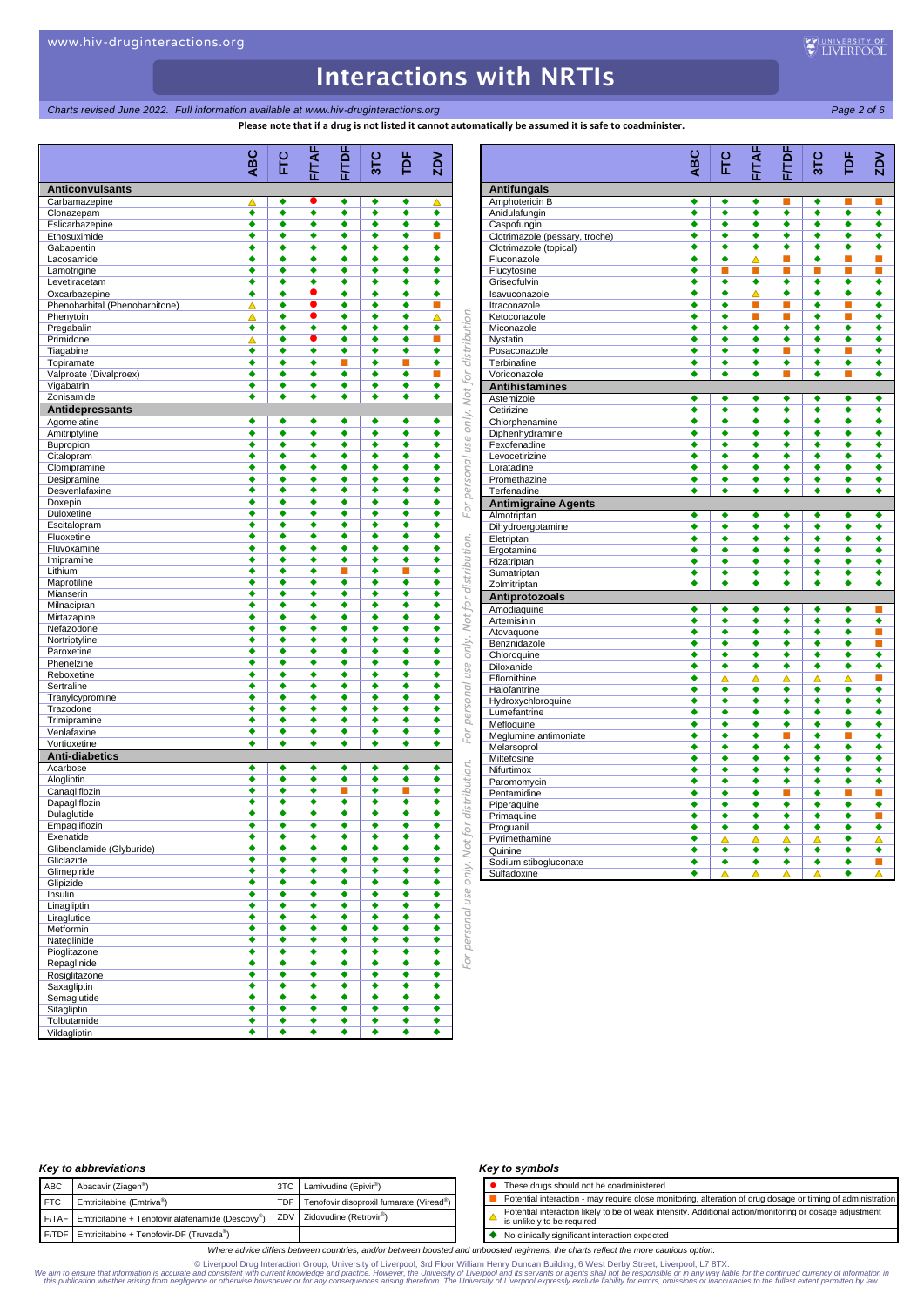## *Charts revised June 2022. Full information available at www.hiv-druginteractions.org Page 2 of 6*

**Please note that if a drug is not listed it cannot automatically be assumed it is safe to coadminister.**

*For personal use only. Not for distribution. For personal use only. Not for distribution. For personal use only. Not for distribution.* **ABC FTC F/TAF F/TDF 3TC TDF ZDV Anticonvulsants**  Carbamazepine  $\overline{a}$   $\overline{a}$   $\overline{a}$   $\overline{a}$   $\overline{a}$   $\overline{a}$   $\overline{a}$   $\overline{a}$   $\overline{a}$   $\overline{a}$   $\overline{a}$   $\overline{a}$   $\overline{a}$   $\overline{a}$   $\overline{a}$   $\overline{a}$   $\overline{a}$   $\overline{a}$   $\overline{a}$   $\overline{a}$   $\overline{a}$   $\overline{a}$   $\overline{a}$  Clonazepine  $\underbrace{\qquad \qquad }$ <br>
Clonazepam  $\underbrace{\qquad \qquad }$ Eslicarbazepine **+ + + + + +** Ethosuximide Gabapentin **+ + + + + + +** Lacosamide **+ + + + +** Lamotrigine Levetiracetam  $Ox$ carbazepine  $\bullet$   $\bullet$   $\bullet$   $\bullet$   $\bullet$ Phenobarbital (Phenobarbitone) Phenytoin **A + 0** + **4** Pregabalin Primidone Tiagabine **+ + + + + +** Topiramate  $\qquad \qquad \qquad \bullet \quad | \; \bullet \quad \bullet \quad \blacksquare \; | \; \bullet \quad \blacksquare \quad \bullet$ Valproate (Divalproex) Vigabatrin Zonisamide **Antidepressants**  Agomelatine Amitriptyline Bupropion Citalopram  $\qquad \qquad \bullet \qquad \bullet \qquad \bullet \qquad \bullet$ Clomipramine Desipramine Desvenlafaxine Doxepin Duloxetine Escitalopram **+ + + + + +**<br>Fluoxetine **+ + + + + + +** Fluoxetine  $\qquad \qquad \qquad \bullet$   $\qquad \bullet$   $\qquad \bullet$   $\qquad \bullet$   $\qquad \bullet$   $\qquad \bullet$ Fluvoxamine **++++++** <u>Imipramine → → → → → → → →</u><br>Lithium → → → → ■ → ■ → Lithium ◆ │ ◆ ◆ ■ │ ◆ ■ ◆ **Maprotiline** Mianserin and the control of  $\begin{array}{|c|c|c|c|c|}\hline \textbf{M}}\end{array}$  , and  $\begin{array}{|c|c|c|c|}\hline \textbf{M}}\end{array}$  , and  $\begin{array}{|c|c|c|}\hline \textbf{M}}\end{array}$  , and  $\begin{array}{|c|c|c|}\hline \textbf{M}}\end{array}$  , and  $\begin{array}{|c|c|c|}\hline \textbf{M}}\end{array}$  , and  $\begin{array}{|c|c|$ Militagraphia<br>Militagraphia<br>Mirtazanine **Carlos Communication of the Communication** Mirtazapine **+ + + + +** Nefazodone Nortriptyline Paroxetine **+ + + + +** Phenelzine  $\qquad \qquad \qquad \bullet$   $\qquad \bullet$   $\qquad \bullet$   $\qquad \bullet$   $\qquad \bullet$   $\qquad \bullet$ Reboxetine Sertraline Tranylcypromine<br>
Trazodone<br>
Trazodone Trazodone Trimipramine Venlafaxine • • • • • • • • Vortioxetine → → → → → → **Anti-diabetics**  Acarbose  $\qquad \qquad \qquad \qquad \bullet \quad | \quad \bullet \quad \bullet \quad \bullet \quad \bullet \quad \bullet \quad \bullet$ Alogliptin → → → → → → → → → Canagliflozin **and the contract of the contract of the contract of the contract of the contract of the contract of the contract of the contract of the contract of the contract of the contract of the contract of the contra** Dapagliflozin **+++++++**<br>Dulaglutide **++++++++** Dulaglutide Empagliflozin Exenatide Glibenclamide (Glyburide) **+ + + + +** Gliclazide → → → → → → → → → Climepiride **+ + + + + + +**<br>Glipizide **+ + + + + + + +** Glipizide → → → → → → → → → Insulin and the contract of  $\begin{array}{ccccccc} \bullet & \bullet & \bullet & \bullet & \bullet & \bullet & \bullet \end{array}$ Linagliptin **+ + + + +** Liraglutide Metformin Nateglinide **and a structure of the structure of the structure of the structure of the structure of the structure of the structure of the structure of the structure of the structure of the structure of the structure of the** Pioglitazone <del>(1) 1999 (1) 1999 (1) 1999 (1) 1999 (1) 1999 (1) 1999 (1) 1999 (1) 1999 (1) 1999 (1) 1999 (1) 1999 (1) 1999 (1) 1999 (1) 1999 (1) 1999 (1) 1999 (1) 1999 (1) 1999 (1) 1999 (1) 1999 (1) 1999 (1) 1999 (1) 1999 (</del> Repaglinide Rosiglitazone **++++++++** Saxagliptin  $\qquad \qquad \qquad \bullet$   $\qquad \bullet$   $\qquad \bullet$   $\qquad \bullet$   $\qquad \bullet$   $\qquad \bullet$ Semaglutide  $\begin{array}{|c|c|c|c|c|c|}\n\hline\n\text{Standardization} & \multicolumn{1}{|c|}{\bullet} & \multicolumn{1}{|c|}{\bullet} & \multicolumn{1}{|c|}{\bullet} & \multicolumn{1}{|c|}{\bullet} & \multicolumn{1}{|c|}{\bullet} & \multicolumn{1}{|c|}{\bullet} & \multicolumn{1}{|c|}{\bullet} & \multicolumn{1}{|c|}{\bullet} & \multicolumn{1}{|c|}{\bullet} & \multicolumn{1}{|c|}{\bullet} & \multicolumn{1}{|c|}{\bullet} & \multicolumn{1}{|c|}{\$ **Sitagliptin** Tolbutamide Vildagliptin **ABC**

|                                    | <b>ABC</b>           | Ë      | FITAF  | <b>TDF</b> | 31C    | ě      | ZDV            |
|------------------------------------|----------------------|--------|--------|------------|--------|--------|----------------|
|                                    |                      |        |        | ū          |        |        |                |
| <b>Antifungals</b>                 |                      |        |        |            |        |        |                |
| Amphotericin B                     | ٠                    | ٠      | ٠      |            | ٠      |        |                |
| Anidulafungin                      | ٠                    | ٠      | ٠      | ٠          | ٠      | ٠      | ٠              |
| Caspofungin                        | ٠                    | ◆      | ٠      | ٠          | ٠      | ◆      | ٠              |
| Clotrimazole (pessary, troche)     | ٠                    | ٠      | ٠      | ٠          | ٠      | ٠      | ٠              |
| Clotrimazole (topical)             | ٠                    | ٠      | ٠      | ٠          | ٠      | ٠      | ٠              |
| Fluconazole                        | ٠                    | ٠      | Δ      | п          | ٠      | п      | п              |
| Flucytosine                        | ٠<br>٠               |        | П      |            |        | П      |                |
| Griseofulvin<br>Isavuconazole      | ٠                    | ٠<br>٠ | ٠<br>Δ | ٠<br>٠     | ٠<br>٠ | ٠<br>٠ | ٠<br>٠         |
| Itraconazole                       | $\overline{\bullet}$ | ∙      | П      |            | ٠      |        | ٠              |
| Ketoconazole                       | ٠                    | ٠      | П      | п          | ٠      | П      | ٠              |
| Miconazole                         | ٠                    | ٠      | ٠      | ٠          | ٠      | ٠      | ٠              |
| Nystatin                           | ٠                    | ٠      | ٠      | ٠          | ٠      | ٠      | ٠              |
| Posaconazole                       | ٠                    | ٠      | ٠      | П          | ٠      | П      | ٠              |
| Terbinafine                        | ٠                    | ٠      | ٠      | ٠          | ٠      | ٠      | ٠              |
| Voriconazole                       | ٠                    | ٠      | ٠      | п          | ٠      | П      | ٠              |
| <b>Antihistamines</b>              |                      |        |        |            |        |        |                |
| Astemizole                         | ٠                    | ٠      | ٠      | ٠          | ٠      | ٠      | ٠              |
| Cetirizine                         | ٠                    | ٠      | ٠      | ٠          | ٠      | ٠      | ٠              |
| Chlorphenamine                     | ٠                    | ٠      | ٠      | ٠          | ٠      | ٠      | ٠              |
| Diphenhydramine                    | ٠                    | ٠      | ٠      | ٠          | ٠      | ٠      | ٠              |
| Fexofenadine                       | ٠                    | ٠      | ٠      | ٠          | ٠      | ٠      | ٠              |
| Levocetirizine                     | ٠                    | ٠      | ٠      | ٠          | ٠      | ٠      | ٠              |
| Loratadine                         | ٠                    | ٠      | ٠      | ٠          | ٠      | ٠      | ٠              |
| Promethazine                       | ٠                    | ٠      | ٠      | ٠          | ٠      | ٠      | ٠              |
| Terfenadine                        | ٠                    | ٠      | ٠      | ٠          | ٠      | ٠      | ٠              |
| <b>Antimigraine Agents</b>         |                      |        |        |            |        |        |                |
| Almotriptan                        | ٠                    | ٠      | ٠      | ٠          | ٠      | ٠      | ٠              |
| Dihydroergotamine                  | ٠                    | ٠      | ٠      | ٠          | ٠      | ٠      | ٠              |
| Eletriptan                         | ٠                    | ٠      | ٠      | ٠          | ٠      | ٠      | ٠              |
| Ergotamine                         | ٠                    | ∙      | ٠      | ٠          | ٠      | ٠      | ٠              |
| Rizatriptan                        | ٠                    | ٠      | ٠      | ٠          | ٠      | ٠      | ٠              |
| Sumatriptan                        | ٠                    | ٠      | ٠      | ٠          | ٠      | ٠      | ٠              |
| Zolmitriptan                       | ٠                    | ٠      | ٠      | ٠          | ٠      | ٠      | ٠              |
| Antiprotozoals                     |                      |        |        |            |        |        |                |
| Amodiaquine                        | ٠                    | ٠      | ٠      | ٠          | ٠      | ٠      | п              |
| Artemisinin                        | ٠                    | ٠      | ٠      | ٠          | ٠      | ٠      | ٠              |
| Atovaquone                         | ٠                    | ٠      | ٠      | ٠          | ٠      | ٠      | п              |
| Benznidazole                       | ٠                    | ٠      | ٠      | ٠          | ٠      | ٠      | $\blacksquare$ |
| Chloroquine                        | ٠                    | ٠      | ٠      | ٠          | ٠      | ٠      | ٠              |
| Diloxanide                         | ٠                    | ٠      | ٠      | ٠          | ٠      | ٠      | ٠              |
| Eflornithine                       | ٠<br>٠               | Δ<br>٠ | Δ      | Δ<br>٠     | Δ<br>٠ | Δ<br>٠ | п<br>٠         |
| Halofantrine                       | ٠                    | ٠      | ٠<br>٠ | ٠          | ٠      | ٠      | ٠              |
| Hydroxychloroquine<br>Lumefantrine | ٠                    | ٠      | ٠      | ٠          | ٠      | ٠      | ٠              |
| Mefloquine                         | ∙                    | ∙      | ٠      | ٠          | ٠      | ٠      | ٠              |
| Meglumine antimoniate              | ٠                    | ٠      | ٠      | ۳          | ٠      | п      | ٠              |
| Melarsoprol                        | ٠                    | ٠      | ٠      | ٠          | ٠      | ٠      | ٠              |
| Miltefosine                        | ٠                    | ٠      | ٠      | ٠          | ٠      | ٠      | ٠              |
| Nifurtimox                         | ٠                    | ٠      | ٠      | ٠          | ٠      | ٠      | ٠              |
| Paromomycin                        | ٠                    | ٠      | ٠      | ٠          | ٠      | ٠      | ٠              |
| Pentamidine                        | ۰                    | ٠      | ٠      | п          | ٠      | п      | п              |
| Piperaquine                        | ٠                    | ٠      | ٠      | ٠          | ٠      | ٠      | ٠              |
| Primaquine                         | ٠                    | ٠      | ٠      | ٠          | ٠      | ٠      | п              |
| Proguanil                          | ٠                    | ٠      | ٠      | ٠          | ٠      | ٠      | ٠              |
| Pyrimethamine                      | ٠                    | Δ      | Δ      | Δ          | Δ      | ٠      | Δ              |
| Quinine                            | ٠                    | ٠      | ٠      | ٠          | ٠      | ٠      | ٠              |
| Sodium stibogluconate              | ٠                    | ٠      | ٠      | ٠          | ٠      | ٠      | п              |
| Sulfadoxine                        | ٠                    | Δ      | Δ      | Δ          |        | ٠      |                |

## *Key to abbreviations*

| <b>ABC</b> | Abacavir (Ziagen <sup>®</sup> )                                       | 3TC Lamivudine (Epivir <sup>®</sup> )       |
|------------|-----------------------------------------------------------------------|---------------------------------------------|
| <b>FTC</b> | Emtricitabine (Emtriva®)                                              | TDF Tenofovir disoproxil fumarate (Viread®) |
|            | $F/TAF$ Emtricitabine + Tenofovir alafenamide (Descovy <sup>®</sup> ) | ZDV Zidovudine (Retrovir <sup>®</sup> )     |
|            | F/TDF Emtricitabine + Tenofovir-DF (Truvada®)                         |                                             |

### *Key to symbols*

⚫ These drugs should not be coadministered Potential interaction - may require close monitoring, alteration of drug dosage or timing of administration Potential interaction likely to be of weak intensity. Additional action/monitoring or dosage adjustment is unlikely to be required

◆ No clinically significant interaction expected

*Where advice differs between countries, and/or between boosted and unboosted regimens, the charts reflect the more cautious option.*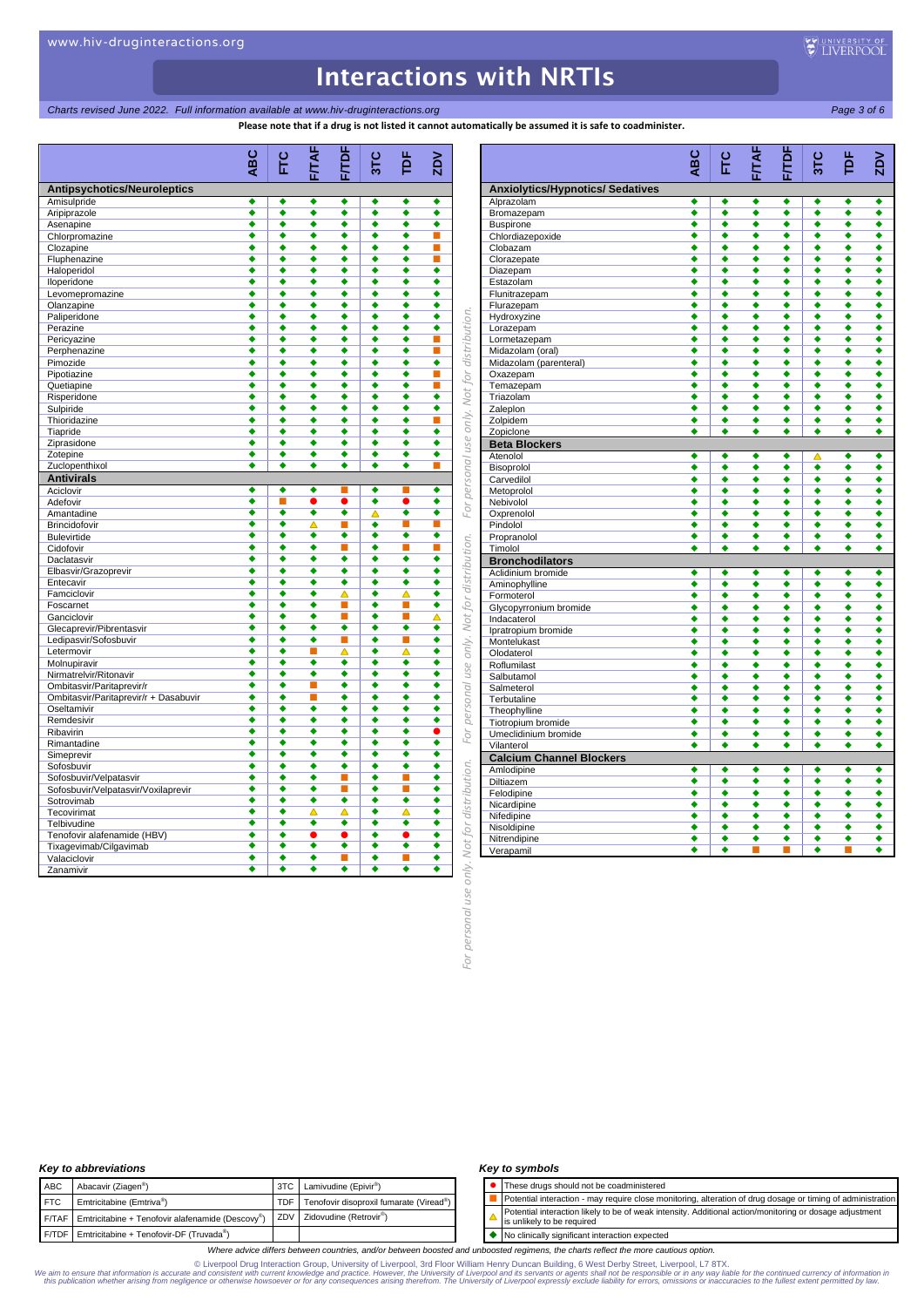## *Charts revised June 2022. Full information available at www.hiv-druginteractions.org Page 3 of 6*

**Please note that if a drug is not listed it cannot automatically be assumed it is safe to coadminister.**

*For personal use only. Not for distribution. For personal use only. Not for distribution. For personal use only. Not for distribution.* **ABC FTC F/TAF F/TDF 3TC TDF ZDV Antipsychotics/Neuroleptics**  Amisulpride Aripiprazole **Aripiprazole and a structure of the structure of the structure of the structure of the structure of the structure of the structure of the structure of the structure of the structure of the structure of the** Asenapine  $\longrightarrow$   $\longrightarrow$   $\longrightarrow$   $\longrightarrow$   $\longrightarrow$   $\longrightarrow$   $\longrightarrow$ Chlorpromazine **+ + + + + +** Clozapine Fluphenazine **+ + + + +** Haloperidol Iloperidone Levomepromazine<br>
Clanzapine<br>
Clanzapine<br>
Clanzapine Olanzapine Paliperidone Perazine  $\qquad \qquad \qquad \qquad \bullet$   $\qquad \bullet$   $\qquad \bullet$   $\qquad \bullet$   $\qquad \bullet$   $\qquad \bullet$ Pericyazine Perphenazine **+ + + + +** Pimozide  $\qquad \qquad \qquad \bullet$   $\qquad \bullet$   $\qquad \bullet$   $\qquad \bullet$   $\qquad \bullet$   $\qquad \bullet$ Pipotiazine Quetiapine Risperidone Sulpiride Thioridazine Tiapride Ziprasidone **Alexandre Alexandre Alexandre Alexandre Alexandre Alexandre Alexandre Alexandre Alexandre Alexandre A** Zotepine Zuclopenthixol **Antivirals**  Aciclovir Adefovir Amantadine **Amantadine Amantadine** Brincidofovir Bulevirtide Cidofovir Daclatasvir Elbasvir/Grazoprevir **+ + + + + +** Entecavir Famciclovir  $\qquad \qquad \qquad \qquad \qquad \bullet \qquad \bullet \qquad \bullet \qquad \Delta \qquad \bullet \qquad \Delta \qquad \bullet$ Foscarnet Ganciclovir **Administration of the Contract of Administration of Administration Contract of Administration Contr** Glecaprevir/Pibrentasvir  $\leftrightarrow$   $\leftrightarrow$   $\leftrightarrow$   $\leftrightarrow$   $\leftrightarrow$   $\leftrightarrow$ Ledipasvir/Sofosbuvir<br>Letermovir Letermovir **+ + A + A** + Molnupiravir Nirmatrelvir/Ritonavir<br>
Ombitasvir/Paritanrevir/r<br>
Ombitasvir/Paritanrevir/r<br>
A A A A A A Ombitasvir/Paritaprevir/r Ombitasvir/Paritaprevir/r + Dasabuvir<br>
Oseltamivir Oseltamivir Remdesivir Ribavirin **+**  $\uparrow$   $\uparrow$   $\uparrow$   $\uparrow$   $\uparrow$   $\uparrow$   $\uparrow$   $\uparrow$   $\uparrow$   $\uparrow$   $\uparrow$   $\uparrow$   $\uparrow$   $\uparrow$   $\uparrow$   $\uparrow$   $\uparrow$   $\uparrow$   $\uparrow$   $\uparrow$   $\uparrow$   $\uparrow$   $\uparrow$   $\uparrow$   $\uparrow$   $\uparrow$   $\uparrow$   $\uparrow$   $\uparrow$   $\uparrow$   $\uparrow$   $\uparrow$   $\uparrow$   $\uparrow$   $\up$ Rimantadine **+ + + + + +**<br>Simeprevir **+ + + + + + + +** Simeprevir Sofosbuvir Sofosbuvir/Velpatasvir<br>
Sofosbuvir/Velpatasvir/Voxilancevir<br>
Sofosbuvir/Velpatasvir/Voxilancevir<br>  $\begin{array}{ccc} \bullet & \bullet & \bullet & \bullet \end{array}$   $\begin{array}{ccc} \bullet & \bullet & \bullet & \bullet \end{array}$   $\begin{array}{ccc} \bullet & \bullet & \bullet & \bullet \end{array}$   $\begin{array}{ccc} \bullet & \bullet & \bullet & \bullet \end{array}$   $\begin{array}{ccc} \bullet & \bullet & \bullet & \bullet \$ Sofosbuvir/Velpatasvir/Voxilaprevir<br>Sofosbuvir/Velpatasvir/Voxilaprevir<br>Sofosbuvir/Nelpatasvir/Voxilaprevir Sotrovimab  $\begin{array}{cccccccc}\n\bullet & \bullet & \bullet & \bullet & \bullet & \bullet & \bullet \\
\hline\nTeconvrimat & \bullet & \bullet & \bullet & \bullet & \bullet & \bullet\n\end{array}$ Tecovirimat  $\qquad \qquad \qquad \blacklozenge \qslant \qquad |\qquad \blacklozenge \qslant \qquad \Delta \qquad \blacklozenge \qslant \qquad \Delta \qquad \blacklozenge \qslant \qquad \blacklozenge$ Telbivudine<br>
Tenefovir alafonamide (HBV)<br>
Tenefovir alafonamide (HBV) Tenofovir alafenamide (HBV)  $\qquad \qquad \bullet \qquad \bullet \qquad \bullet$ Tixagevimab/Cilgavimab **and a series and a series and a series and a series and a series and a series and a series** Valaciclovir Zanamivir **ABC**

|                                               | ABC    | EC                   | FITAF  | F/TDF  | 310    | þF     | $\mathsf{ZD}$        |
|-----------------------------------------------|--------|----------------------|--------|--------|--------|--------|----------------------|
| <b>Anxiolytics/Hypnotics/ Sedatives</b>       |        |                      |        |        |        |        |                      |
| Alprazolam                                    | ٠      | ٠                    | ٠      | ٠      | ٠      | ٠      | ٠                    |
| Bromazepam                                    | ٠      | ٠                    | ٠      | ٠      | ٠      | ٠      | ٠                    |
| <b>Buspirone</b>                              | ◆      | ∙                    | ◆      | ٠      | ∙      | ∙      | $\overline{\bullet}$ |
| Chlordiazepoxide                              | ٠      | ٠                    | ٠      | ٠      | ٠      | ٠      | ٠                    |
| Clobazam                                      | ٠      | ٠                    | ٠      | ٠      | ٠      | ٠      | ٠                    |
| Clorazepate                                   | ٠      | ٠                    | ٠      | ٠      | ٠      | ٠      | ٠                    |
| Diazepam                                      | ٠      | ◆                    | ◆      | ٠      | ٠      | ٠      | ٠                    |
| Estazolam                                     | ٠      | ٠                    | ٠      | ٠      | ٠      | ٠      | ٠                    |
| Flunitrazepam                                 | ٠<br>٠ | ٠<br>٠               | ٠<br>٠ | ٠<br>٠ | ٠<br>٠ | ٠<br>٠ | ٠<br>٠               |
| Flurazepam                                    | ٠      | ٠                    | ٠      | ٠      | ٠      | ٠      | ٠                    |
| Hydroxyzine<br>Lorazepam                      | ٠      | ٠                    | ٠      | ٠      | ٠      | ٠      | ٠                    |
| Lormetazepam                                  | ◆      | ◆                    | ◆      | ٠      | ٠      | ∙      | ٠                    |
| Midazolam (oral)                              | ٠      | ٠                    | ٠      | ٠      | ٠      | ٠      | ٠                    |
| Midazolam (parenteral)                        | ٠      | ٠                    | ٠      | ٠      | ٠      | ٠      | ٠                    |
| Oxazepam                                      | ٠      | ٠                    | ٠      | ٠      | ٠      | ٠      | ٠                    |
| Temazepam                                     | ٠      | ٠                    | ٠      | ٠      | ٠      | ٠      | ٠                    |
| Triazolam                                     | ٠      | ٠                    | ٠      | ٠      | ٠      | ٠      | ٠                    |
| Zaleplon                                      | ٠      | ٠                    | ٠      | ٠      | ٠      | ٠      | ٠                    |
| Zolpidem                                      | ٠      | ٠                    | ٠      | ٠      | ٠      | ٠      | ٠                    |
| Zopiclone                                     | ٠      | ٠                    | ٠      | ٠      | ٠      | ٠      | ٠                    |
| <b>Beta Blockers</b>                          |        |                      |        |        |        |        |                      |
| Atenolol                                      | ٠      | ٠                    | ٠      | ٠      | Δ      | ٠      | ٠                    |
| Bisoprolol                                    | ٠      | ٠                    | ٠      | ٠      | ٠      | ٠      | ٠                    |
| Carvedilol                                    | ٠      | ٠                    | ٠      | ٠      | ٠      | ٠      | ٠                    |
| Metoprolol                                    | ٠      | ٠                    | ٠      | ٠      | ٠      | ٠      | ٠                    |
| Nebivolol                                     | ٠      | ٠                    | ٠      | ٠      | ٠      | ٠      | ٠                    |
| Oxprenolol                                    | ٠      | ٠                    | ٠      | ٠      | ٠      | ٠      | ٠                    |
| Pindolol<br>Propranolol                       | ٠<br>٠ | ٠<br>٠               | ٠<br>٠ | ٠<br>٠ | ٠<br>٠ | ٠<br>٠ | ٠<br>٠               |
| Timolol                                       | ٠      | ٠                    | ٠      | ٠      | ٠      | ٠      | ٠                    |
| <b>Bronchodilators</b>                        |        |                      |        |        |        |        |                      |
| Aclidinium bromide                            | ٠      | ٠                    | ٠      | ٠      | ٠      | ٠      | ٠                    |
| Aminophylline                                 | ٠      | ٠                    | ٠      | ٠      | ◆      | ∙      | ∙                    |
| Formoterol                                    | ٠      | ٠                    | ٠      | ٠      | ٠      | ٠      | ٠                    |
| Glycopyrronium bromide                        | ٠      | ٠                    | ٠      | ٠      | ٠      | ٠      | ٠                    |
| Indacaterol                                   | ٠      | ٠                    | ٠      | ٠      | ٠      | ٠      | ٠                    |
| Ipratropium bromide                           | ∙      | ∙                    | ◆      | ٠      | ٠      | ٠      | ٠                    |
| Montelukast                                   | ٠      | ٠                    | ٠      | ٠      | ٠      | ٠      | ٠                    |
| Olodaterol                                    | ٠      | ٠                    | ٠      | ٠      | ٠      | ٠      | ٠                    |
| Roflumilast                                   | ٠      | ∙                    | ∙      | ٠      | ٠      | ∙      | ٠                    |
| Salbutamol                                    | ٠      | ٠                    | ٠      | ٠      | ٠      | ٠      | ٠                    |
| Salmeterol                                    | ٠      | ٠                    | ٠      | ٠      | ٠      | ٠      | ٠                    |
| Terbutaline                                   | ◆      | ◆                    | ◆      | ٠      | ◆      | ◆      | ◆                    |
| Theophylline                                  | ٠      | ٠                    | ٠      | ٠      | ٠      | ٠      | ٠                    |
| Tiotropium bromide                            | ◆      | ◆                    | ◆      | ∙      | ◆      | ∙      | ∙                    |
| Umeclidinium bromide                          | ٠<br>٠ | ٠<br>٠               | ٠<br>٠ | ٠<br>٠ | ٠<br>٠ | ٠<br>٠ | ٠<br>٠               |
| Vilanterol<br><b>Calcium Channel Blockers</b> |        |                      |        |        |        |        |                      |
| Amlodipine                                    | ٠      | ٠                    | ٠      | ٠      | ٠      | ٠      | ٠                    |
| Diltiazem                                     | ٠      | ٠                    | ٠      | ٠      | ٠      | ٠      | ٠                    |
| Felodipine                                    | ٠      | ٠                    | ٠      | ٠      | ٠      | ٠      | ٠                    |
| Nicardipine                                   | ٠      | $\overline{\bullet}$ | ◆      | ٠      | ٠      | ◆      | ٠                    |
| Nifedipine                                    | ٠      | ٠                    | ٠      | ٠      | ٠      | ٠      | ٠                    |
| Nisoldipine                                   | ٠      | ٠                    | ٠      | ٠      | ٠      | ٠      | ٠                    |
| Nitrendipine                                  | ٠      | ٠                    | ٠      | ٠      | ٠      | ٠      | ٠                    |
| Verapamil                                     | ٠      | ٠                    |        |        | ٠      |        | ٠                    |

## *Key to abbreviations*

|            | <b>NOV to apple videons</b>                                         |                                             |
|------------|---------------------------------------------------------------------|---------------------------------------------|
| ABC        | Abacavir (Ziagen <sup>®</sup> )                                     | 3TC Lamivudine (Epivir <sup>®</sup> )       |
| <b>FTC</b> | Emtricitabine (Emtriva®)                                            | TDF Tenofovir disoproxil fumarate (Viread®) |
|            | F/TAF Emtricitabine + Tenofovir alafenamide (Descovv <sup>®</sup> ) | ZDV Zidovudine (Retrovir <sup>®</sup> )     |
|            | F/TDF Emtricitabine + Tenofovir-DF (Truvada®)                       |                                             |

### *Key to symbols*

⚫ These drugs should not be coadministered

 Potential interaction - may require close monitoring, alteration of drug dosage or timing of administration Potential interaction likely to be of weak intensity. Additional action/monitoring or dosage adjustment Δ is unlikely to be required

◆ No clinically significant interaction expected

*Where advice differs between countries, and/or between boosted and unboosted regimens, the charts reflect the more cautious option.*

Diverpool Drug Interaction Group, University of Liverpool, 3rd Floor William Henry Duncan Building, 6 West Derby Street, Liverpool, L7 8TX. (Iverponisty of Liverpool, 2rd Floor William Henry Duncan Building, 6 West Derby

use

personal JO.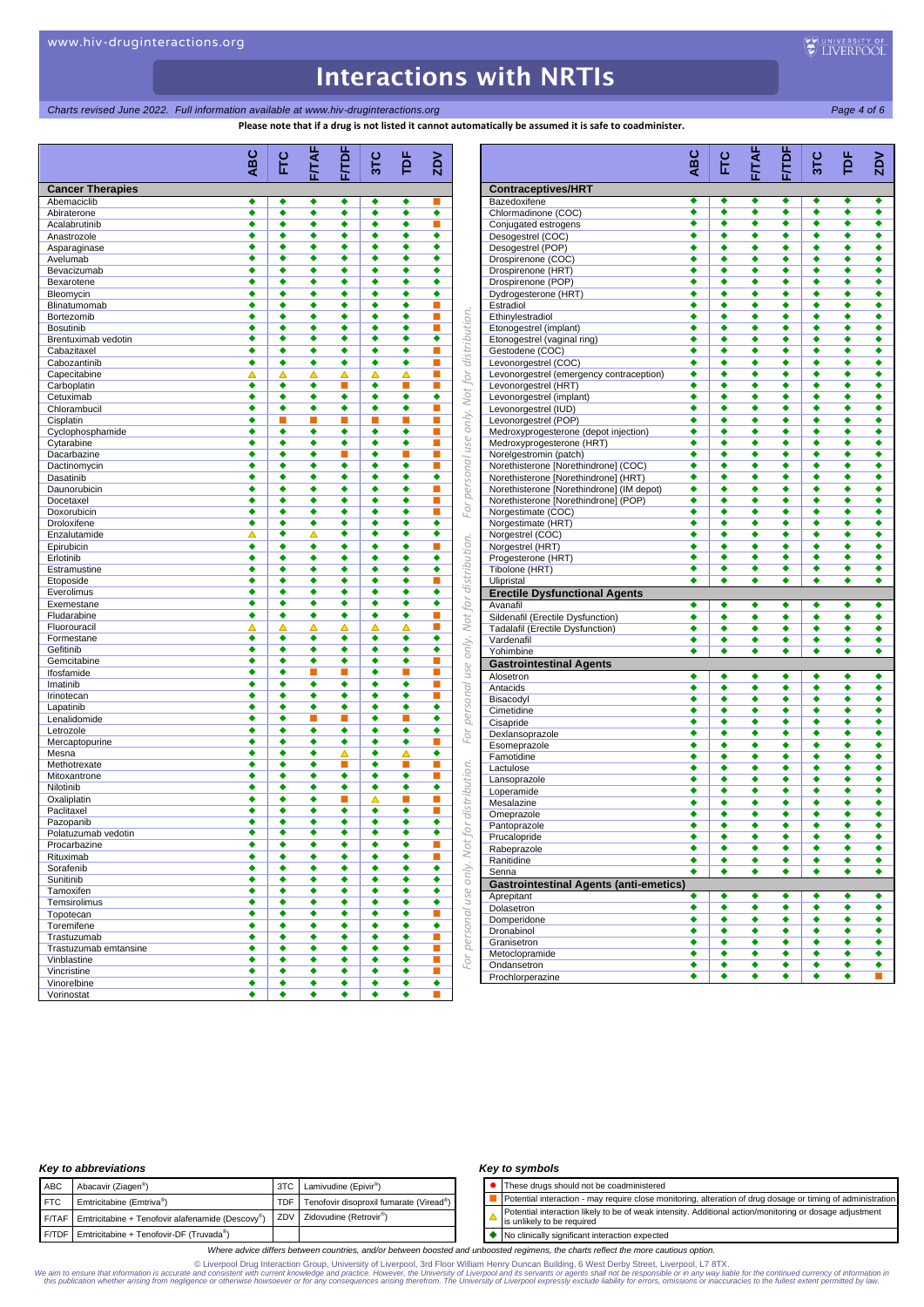# **Charts revised June 2022. Full information available at www.hiv-druginteractions.org Page 4 of 6** Page 4 of 6

**Please note that if a drug is not listed it cannot automatically be assumed it is safe to coadminister.**

|                                    | ABC    | Ec     | FITAF  | FITDF  | 3TC    | rÞ     | $\geq$ |
|------------------------------------|--------|--------|--------|--------|--------|--------|--------|
| <b>Cancer Therapies</b>            |        |        |        |        |        |        |        |
| Abemaciclib                        | ٠      | ٠      | ٠      | ٠      | ٠      | ٠      |        |
| Abiraterone                        | ٠      | ٠      | ٠      | ٠      | ٠      | ٠      | ٠      |
| Acalabrutinib                      | ٠      | ٠      | ٠      | ٠      | ٠      | ٠      | П      |
| Anastrozole                        |        | ٠      | ٠      | ٠      | ٠      | ٠      | ٠      |
| Asparaginase                       | ٠      | ٠      | ٠      | ٠      | ٠      | ٠      | ٠      |
| Avelumab                           | ٠      | ٠      | ٠      | ٠      | ٠      | ٠      | ٠      |
| Bevacizumab                        | ٠      | ٠      | ٠      | ٠      | ٠      | ٠      | ٠      |
| Bexarotene                         | ٠      | ٠      | ٠      | ٠      | ٠      | ٠      | ٠      |
| Bleomycin                          | ٠<br>٠ | ٠<br>٠ | ٠      | ٠      | ٠<br>٠ | ٠      | ٠<br>п |
| Blinatumomab                       |        |        | ٠      | ٠      |        | ٠      |        |
| Bortezomib                         | ٠      | ٠      | ٠      | ٠      | ٠      | ٠      | п      |
| <b>Bosutinib</b>                   | ٠<br>٠ | ٠<br>٠ | ٠<br>٠ | ٠<br>٠ | ٠<br>٠ | ٠<br>٠ | п<br>٠ |
| Brentuximab vedotin<br>Cabazitaxel | ٠      | ٠      | ٠      | ٠      | ٠      | ٠      | п      |
|                                    |        |        |        |        |        |        |        |
| Cabozantinib                       | ٠      | ٠      | ٠      | ٠      | ٠      | ٠      | п      |
| Capecitabine                       | Δ      | Δ      | Δ      | Δ      | Δ      | ▵      | п      |
| Carboplatin                        | ٠      | ٠      | ٠      | п      | ٠      | п      | п      |
| Cetuximab                          | ٠      | ٠      | ٠      | ٠      | ٠      | ٠      | ٠      |
| Chlorambucil                       | ٠      | ٠      | ٠      | ٠      | ٠      | ٠      | П      |
| Cisplatin                          | ٠      | п<br>٠ | п<br>٠ | п<br>٠ | п<br>٠ | п<br>٠ | п<br>п |
| Cyclophosphamide                   |        |        |        |        |        |        |        |
| Cytarabine                         | ٠      | ٠      | ٠      | ٠      | ٠      | ٠      | п      |
| Dacarbazine                        | ٠      | ٠      | ٠      | ×      | ٠      | п      | П      |
| Dactinomycin                       | ٠      | ٠      | ٠      | ٠      | ٠      | ٠      | п      |
| Dasatinib                          | ٠      | ٠      | ٠      | ٠      | ٠      | ٠      | ٠      |
| Daunorubicin                       | ٠      | ٠      | ٠      | ٠      | ٠      | ٠      | П      |
| Docetaxel                          | ٠      | ٠      | ٠      | ٠      | ٠      | ٠      | п      |
| Doxorubicin                        | ٠      | ٠      | ٠      | ٠      | ٠      | ٠      | п      |
| Droloxifene                        | ٠      | ٠      | ٠      | ٠      | ٠      | ٠      | ٠      |
| Enzalutamide                       | △      | ٠      | Δ      | ٠      | ٠      | ٠      | ٠      |
| Epirubicin                         | ٠      | ٠      | ٠      | ٠      | ٠      | ٠      | п      |
| Erlotinib                          | ٠      | ٠      | ٠      | ٠      | ٠      | ٠      | ٠      |
| Estramustine                       | ٠      | ٠      | ٠      | ٠      | ٠      | ٠      | ٠      |
| Etoposide                          |        | ٠      | ٠      | ٠      | ٠      | ٠      | П      |
| Everolimus                         | ٠      | ٠      | ٠      | ٠      | ٠      | ٠      | ٠      |
| Exemestane                         | ٠      | ٠      | ٠      | ٠      | ٠      | ٠      | ٠      |
| Fludarabine                        | ٠      | ٠      | ٠      | ٠      | ٠      | ٠      | п      |
| Fluorouracil                       | Δ      | Δ      | Δ      | Δ      | Δ      | Δ      | п      |
| Formestane                         | ٠      | ٠      | ٠      | ٠      | ٠      | ٠      | ٠      |
| Gefitinib                          | ٠      | ٠      | ٠      | ٠      | ٠      | ٠      | ٠      |
| Gemcitabine                        | ٠      | ٠      | ٠      | ٠      | ٠      | ٠      | п      |
| Ifosfamide                         | ٠      | ٠      | п      | ×      | ٠      | п      | п      |
| Imatinib                           | ٠      | ٠      | ٠      | ٠      | ٠      | ٠      | П      |
| Irinotecan                         | ٠      | ٠      | ٠      | ٠      | ٠      | ٠      | п      |
| Lapatinib                          | ٠      | ٠      | ٠      | ٠      | ٠      | ٠      | ٠      |
| Lenalidomide                       | ٠      | ٠      | п      | п      | ٠      | п      | ٠      |
| Letrozole                          | ٠      | ٠      | ٠      | ٠      | ٠      | ٠      | ٠      |
| Mercaptopurine                     | ٠      | ٠      | ٠      | ٠      | ٠      | ٠      | п      |
| Mesna                              | ٠      | ٠      | ٠      | Δ      | ٠      | Δ      | ٠      |
| Methotrexate                       | ٠      | ٠      | ٠      | п      | ٠      | ×      | п      |
| Mitoxantrone                       |        | ٠      | ٠      | ٠      | ٠      | ٠      | п      |
| Nilotinib                          | ٠      | ٠      | ٠      | ٠      | ٠      | ٠      | ٠      |
| Oxaliplatin                        | ٠      | ٠      | ٠      | ×      | Δ      | ■      | п      |
| Paclitaxel                         | ٠      | ٠      | ٠      | ٠      | ٠      | ٠      | П      |
| Pazopanib                          |        |        |        |        |        |        |        |
| Polatuzumab vedotin                | ٠      | ٠      | ٠      | ٠      | ٠      | ٠      | ٠      |
| Procarbazine                       | ٠      | ٠      | ٠      | ٠      | ٠      | ٠      | п      |
| Rituximab                          | ٠      | ٠      | ٠      | ٠      | ٠      | ٠      | ш      |
| Sorafenib                          | ٠      | ٠      | ٠      | ٠      | ٠      | ٠      | ٠      |
| Sunitinib                          | ٠      | ٠      | ٠      | ٠      | ٠      | ٠      | ٠      |
| Tamoxifen                          | ٠      | ٠      | ٠      | ٠      | ٠      | ٠      | ٠      |
| Temsirolimus                       | ٠      | ٠      | ٠      | ٠      | ٠      | ٠      | ٠      |
|                                    | ٠      | ٠      | ٠      | ٠      | ٠      | ٠      | п      |
| Topotecan                          |        | ٠      |        |        |        |        | ٠      |
| Toremifene                         | ٠      |        | ٠      | ٠      | ٠      | ٠      |        |
| Trastuzumab                        | ٠      | ٠      | ٠      | ٠      | ٠      | ٠      | п      |
| Trastuzumab emtansine              | ٠      | ٠      | ٠      | ٠      | ٠      | ٠      | п      |
| Vinblastine                        | ٠      | ٠      | ٠      | ٠      | ٠      | ٠      | п      |
|                                    | ٠      | ٠      | ٠      | ٠      | ٠      | ٠      | п      |
| Vincristine                        |        |        |        |        |        |        |        |
| Vinorelbine<br>Vorinostat          | ٠<br>٠ | ٠<br>٠ | ٠<br>٠ | ٠<br>٠ | ٠<br>٠ | ٠<br>٠ | ٠      |

|                                                               | <b>ABC</b>           | FC<br>E              | FITAF                | <b>F/TDF</b>         | 3TC                  | <b>PE</b>            | ΣDΝ    |
|---------------------------------------------------------------|----------------------|----------------------|----------------------|----------------------|----------------------|----------------------|--------|
| <b>Contraceptives/HRT</b>                                     |                      |                      |                      |                      |                      |                      |        |
| Bazedoxifene                                                  | ٠                    | ٠                    | ٠                    | ٠                    | ٠                    | ٠                    | ٠      |
| Chlormadinone (COC)                                           | ٠                    | ٠                    | ٠                    | ٠                    | ٠                    | ٠                    | ٠      |
| Conjugated estrogens                                          | ٠                    | $\overline{\bullet}$ | $\overline{\bullet}$ | $\overline{\bullet}$ | $\overline{\bullet}$ | $\overline{\bullet}$ | ٠      |
| Desogestrel (COC)<br>Desogestrel (POP)                        | ٠<br>٠               | ٠<br>٠               | ٠<br>٠               | ٠<br>٠               | ٠<br>٠               | ٠<br>٠               | ٠<br>٠ |
| Drospirenone (COC)                                            | ٠                    | ٠                    | ٠                    | ٠                    | ٠                    | ٠                    | ٠      |
| Drospirenone (HRT)                                            | ٠                    | ٠                    | ٠                    | ٠                    | ٠                    | ٠                    | ٠      |
| Drospirenone (POP)                                            | ٠                    | ٠                    | ٠                    | ٠                    | ٠                    | ٠                    | ٠      |
| Dydrogesterone (HRT)                                          | ٠                    | ٠                    | ٠                    | ٠                    | ٠                    | ٠                    | ٠      |
| Estradiol                                                     | ٠                    | ٠                    | ٠                    | ٠                    | ٠                    | ٠                    | ٠      |
| Ethinylestradiol                                              | ٠<br>٠               | ٠<br>٠               | ٠                    | ٠<br>٠               | ٠<br>٠               | ٠<br>٠               | ٠<br>٠ |
| Etonogestrel (implant)<br>Etonogestrel (vaginal ring)         | ٠                    | ٠                    | ٠<br>٠               | ٠                    | ٠                    | ٠                    | ٠      |
| Gestodene (COC)                                               | ٠                    | ٠                    | ٠                    | ٠                    | ٠                    | ٠                    | ٠      |
| Levonorgestrel (COC)                                          | ٠                    | ٠                    | ٠                    | ٠                    | ٠                    | ٠                    | ٠      |
| Levonorgestrel (emergency contraception)                      | ٠                    | ٠                    | ٠                    | ٠                    | ٠                    | ٠                    | ٠      |
| Levonorgestrel (HRT)                                          | ٠                    | ٠                    | ٠                    | ٠                    | ٠                    | ٠                    | ٠      |
| Levonorgestrel (implant)                                      | ٠                    | ٠                    | ٠                    | ٠                    | ٠                    | ٠                    | ٠      |
| Levonorgestrel (IUD)                                          | ٠                    | ٠<br>٠               | ٠                    | ٠                    | ٠                    | ٠                    | ٠<br>٠ |
| Levonorgestrel (POP)<br>Medroxyprogesterone (depot injection) | ٠<br>٠               | ٠                    | ٠<br>٠               | ٠<br>٠               | ٠<br>٠               | ٠<br>٠               | ٠      |
| Medroxyprogesterone (HRT)                                     | ٠                    | ٠                    | ٠                    | ٠                    | ٠                    | ٠                    | ٠      |
| Norelgestromin (patch)                                        | ٠                    | ٠                    | ٠                    | ٠                    | ٠                    | ٠                    | ٠      |
| Norethisterone [Norethindrone] (COC)                          | ٠                    | ٠                    | ٠                    | ٠                    | ٠                    | ٠                    | ٠      |
| Norethisterone [Norethindrone] (HRT)                          | ٠                    | ٠                    | ٠                    | ٠                    | ٠                    | ٠                    | ٠      |
| Norethisterone [Norethindrone] (IM depot)                     | ٠                    | ٠                    | ٠                    | ٠                    | ٠                    | ٠                    | ٠      |
| Norethisterone [Norethindrone] (POP)                          | ٠<br>٠               | ٠<br>٠               | ٠                    | ٠                    | ٠<br>٠               | ٠<br>٠               | ٠      |
| Norgestimate (COC)<br>Norgestimate (HRT)                      | ٠                    | ٠                    | ٠<br>٠               | ٠<br>٠               | ٠                    | ٠                    | ٠<br>٠ |
| Norgestrel (COC)                                              | ٠                    | ٠                    | ٠                    | ٠                    | ٠                    | ٠                    | ٠      |
| Norgestrel (HRT)                                              | ٠                    | ٠                    | ٠                    | ٠                    | ٠                    | ٠                    | ٠      |
| Progesterone (HRT)                                            | ٠                    | ٠                    | ٠                    | ٠                    | ٠                    | ٠                    | ٠      |
| Tibolone (HRT)                                                | $\overline{\bullet}$ | ٠                    | $\overline{\bullet}$ | $\overline{\bullet}$ | $\overline{\bullet}$ | $\overline{\bullet}$ | ٠      |
| Ulipristal                                                    | ٠                    | ٠                    | ٠                    | ٠                    | ٠                    | ٠                    | ٠      |
| <b>Erectile Dysfunctional Agents</b><br>Avanafil              | ٠                    | ٠                    | ٠                    | ٠                    | ٠                    | ٠                    | ٠      |
| Sildenafil (Erectile Dysfunction)                             | ٠                    | ٠                    | ٠                    | ٠                    | ٠                    | ٠                    | ٠      |
| Tadalafil (Erectile Dysfunction)                              | ٠                    | ٠                    | ٠                    | ٠                    |                      | ٠                    | ٠      |
| Vardenafil                                                    | ٠                    | ٠                    | ٠                    | ٠                    | ٠                    | ٠                    | ٠      |
| Yohimbine                                                     | ٠                    | ٠                    | ٠                    | ٠                    | ٠                    | ٠                    | ٠      |
| <b>Gastrointestinal Agents</b>                                |                      |                      |                      |                      |                      |                      |        |
| Alosetron                                                     | ٠                    | ٠                    | ٠                    | ٠                    | ٠                    | ٠                    | ٠      |
| Antacids                                                      | ٠                    | ٠                    | ٠                    | ٠                    | ٠                    | ٠                    | ٠      |
| Bisacodyl<br>Cimetidine                                       | ٠<br>٠               | ٠<br>٠               | ٠<br>٠               | ٠<br>٠               | ٠<br>٠               | ٠<br>٠               | ٠<br>٠ |
| Cisapride                                                     | ٠                    | ٠                    | ٠                    | ٠                    | ٠                    | ٠                    | ٠      |
| Dexlansoprazole                                               | ٠                    | ٠                    | ٠                    | ٠                    | ٠                    | ٠                    | ٠      |
| Esomeprazole                                                  | ٠                    | ٠                    | ٠                    | ٠                    | ٠                    | ٠                    | ٠      |
| Famotidine                                                    | ٠                    | ٠                    | ٠                    | ٠                    | ٠                    | ٠                    | ٠      |
| Lactulose                                                     | ٠                    | ٠                    | ٠                    | ٠                    | ٠                    | ٠                    | ٠      |
| Lansoprazole                                                  | ٠                    | ٠                    | ٠                    | ٠                    | ٠                    | ٠                    | ٠      |
| Loperamide<br>Mesalazine                                      | ٠<br>٠               | ٠<br>٠               | ٠<br>٠               | ٠<br>٠               | ٠<br>٠               | ٠<br>٠               | ٠<br>٠ |
| Omeprazole                                                    | ٠                    | ٠                    | ٠                    | ٠                    | ٠                    | ٠                    | ٠      |
| Pantoprazole                                                  | ٠                    | ٠                    | ٠                    | ٠                    | ٠                    | ٠                    | ٠      |
| Prucalopride                                                  |                      |                      |                      |                      |                      |                      |        |
| Rabeprazole                                                   | ٠                    | ٠                    | ٠                    | ٠                    | ٠                    | ٠                    | ٠      |
| Ranitidine                                                    | ٠                    | ٠                    | ٠                    | ٠                    | ٠                    | ٠                    | ٠      |
| Senna                                                         | ٠                    | ٠                    | ٠                    | ٠                    | ٠                    | ٠                    | ٠      |
| <b>Gastrointestinal Agents (anti-emetics)</b>                 |                      |                      |                      |                      |                      |                      |        |
| Aprepitant<br>Dolasetron                                      | ٠<br>٠               | ٠<br>٠               | ٠<br>٠               | ٠<br>٠               | ٠<br>٠               | ٠<br>٠               | ٠<br>٠ |
| Domperidone                                                   | ٠                    | ٠                    | ٠                    | ٠                    | ٠                    | ٠                    | ٠      |
| Dronabinol                                                    | ٠                    | ٠                    | ٠                    | ٠                    | ٠                    | ٠                    | ٠      |
| Granisetron                                                   | ٠                    | ٠                    | ٠                    | ٠                    | ٠                    | ٠                    | ٠      |
| Metoclopramide                                                | ٠                    | ٠                    | ٠                    | ٠                    | ٠                    | ٠                    | ٠      |
| Ondansetron                                                   | ٠                    | ٠                    | ٠                    | ٠                    | ٠                    | ٠                    | ٠      |
| Prochlorperazine                                              | ٠                    | ٠                    | ٠                    | ٠                    | ٠                    | ٠                    | П      |

## *Key to abbreviations*

| <b>ABC</b> |            | Abacavir (Ziagen <sup>®</sup> )                                       | 3TC Lamivudine (Epivir <sup>®</sup> )       |
|------------|------------|-----------------------------------------------------------------------|---------------------------------------------|
|            | <b>FTC</b> | Emtricitabine (Emtriva®)                                              | TDF Tenofovir disoproxil fumarate (Viread®) |
|            |            | $F/TAF$ Emtricitabine + Tenofovir alafenamide (Descovy <sup>®</sup> ) | ZDV Zidovudine (Retrovir <sup>®</sup> )     |
|            |            | F/TDF Emtricitabine + Tenofovir-DF (Truvada®)                         |                                             |

### *Key to symbols*

⚫ These drugs should not be coadministered Potential interaction - may require close monitoring, alteration of drug dosage or timing of administration<br>Potential interaction - may require close monitoring, alteration of drug dosage or timing of administration Potential interaction likely to be of weak intensity. Additional action/monitoring or dosage adjustment  $\Delta$ is unlikely to be required

◆ No clinically significant interaction expected

*Where advice differs between countries, and/or between boosted and unboosted regimens, the charts reflect the more cautious option.*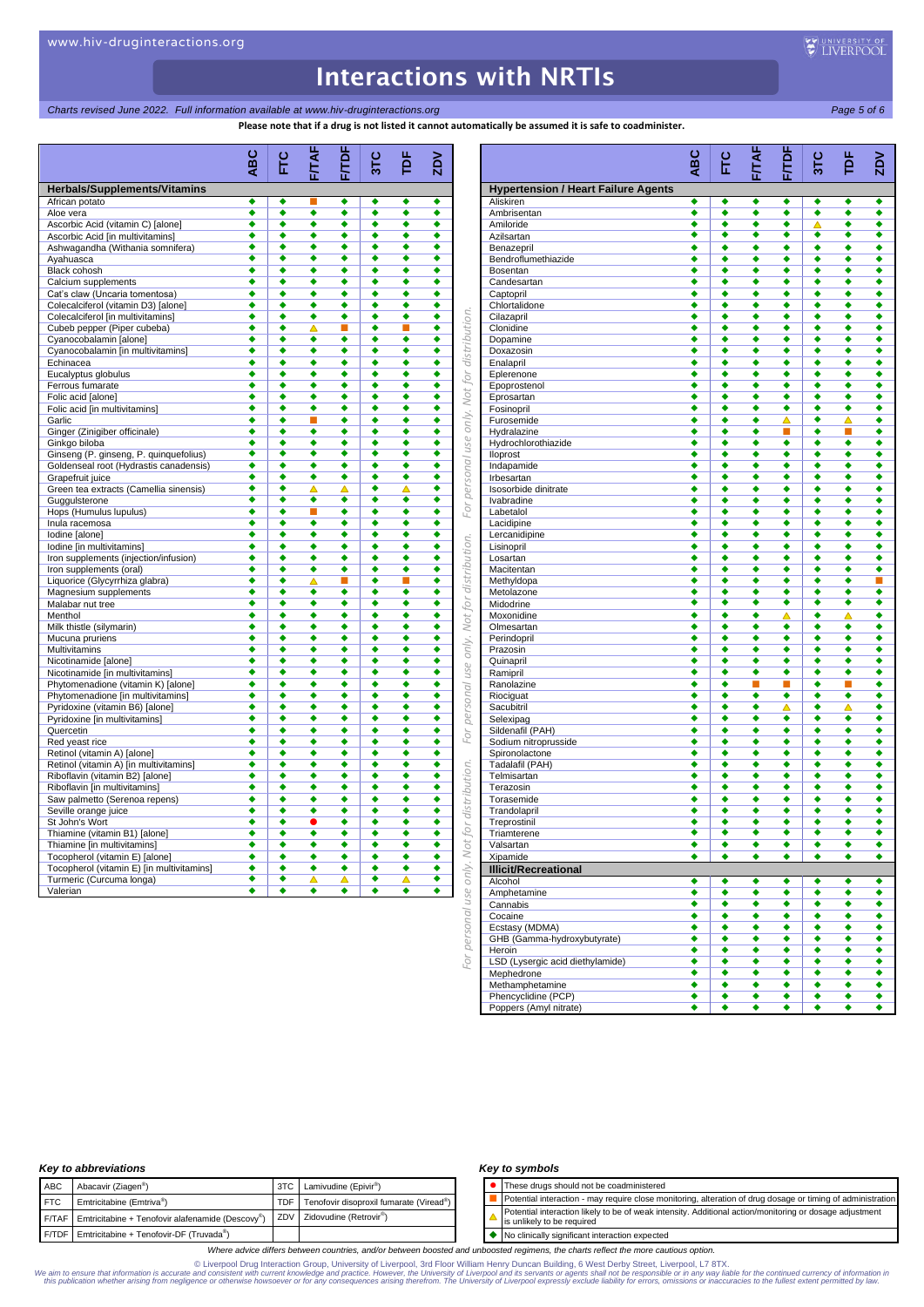## *Charts revised June 2022. Full information available at www.hiv-druginteractions.org Page 5 of 6*

**Please note that if a drug is not listed it cannot automatically be assumed it is safe to coadminister.**

**ABC FTC 3TC TDF Model Scribtz Control in the Control interaction of the Control interaction in the Control interaction in the Control interaction in the Control interaction in the Control interaction in the Control interaction in the Co F/TAF F/TDF ZDV Herbals/Supplements/Vitamins** African potato<br>
Aloe vera<br>
Aloe vera<br>
Aloe vera<br>
Aloe vera<br>
Aloe vera<br>
Aloe vera<br>
Aloe vera<br>
Aloe vera<br>
Aloe vera<br>
Aloe vera<br>
Aloe vera<br>
Aloe vera<br>
Aloe vera<br>
Aloe vera<br>
Aloe vera<br>
Aloe vera<br>
Aloe vera<br>
Aloe vera<br>
Aloe ver Aloe vera the contract of the contract of  $\begin{array}{ccccccc} \bullet & \bullet & \bullet & \bullet & \bullet & \bullet & \bullet \end{array}$ Ascorbic Acid (vitamin C) [alone] Ascorbic Acid [in multivitamins]<br>Asburgapadha (Mithania sompifora) Ashwagandha (Withania somnifera)<br>Ashwagandha (Withania somnifera)<br>Avahuasca<br>**Avahuasca**<br>Avahuasca<br>**Avahuasca** Ayahuasca **+ + + + +** Black cohosh<br>Calcium supplements → → → → → → → → → Calcium supplements<br>
Cat's claw (I Incaria tomentosa) Cat's claw (Uncaria tomentosa) **↓ ↓ ↓ ↓ ↓** Colecalciferol (vitamin D3) [alone] *For personal use only. Not for distribution. For personal use only. Not for distribution. For personal use only. Not for distribution.* Colecalciferol [in multivitamins] Cubeb pepper (Piper cubeba) Cyanocobalamin [alone] Cyanocobalamin [in multivitamins]  $\qquad \qquad \bullet$   $\qquad \bullet$   $\qquad \bullet$   $\qquad \bullet$   $\qquad \bullet$ Echinacea Eucalyptus globulus Ferrous fumarate Folic acid [alone] Folic acid [in multivitamins] Garlic Ginger (Zinigiber officinale) Ginkgo biloba Ginseng (P. ginseng, P. quinquefolius) Goldenseal root (Hydrastis canadensis) Grapefruit juice Green tea extracts (Camellia sinensis)<br>
Gugu Isterpoe Guggulsterone Hops (Humulus lupulus) **A A A A A A A** Inula racemosa Iodine [alone]<br>
Iodine [in multivitamins]<br>
→ → → → → → → Iodine [in multivitamins] Iron supplements (injection/infusion) Iron supplements (oral) Liquorice (Glycyrrhiza glabra) Magnesium supplements Malabar nut tree **and a set of the set of the set of the set of the set of the set of the set of the set of the set of the set of the set of the set of the set of the set of the set of the set of the set of the set of the** Menthol the contract of  $\begin{array}{ccccccc} \bullet & \bullet & \bullet & \bullet & \bullet & \bullet & \bullet \end{array}$ Milk thistle (silymarin) Mucuna pruriens Multivitamins Nicotinamide [alone] **\* \* \* \* \* \*** Nicotinamide [in multivitamins] Phytomenadione (vitamin K) [alone]  $\qquad \qquad \bullet$   $\qquad \bullet$   $\qquad \bullet$   $\qquad \bullet$ Phytomenadione [in multivitamins]  $\qquad \qquad \bullet$   $\qquad \bullet$   $\qquad \bullet$   $\qquad \bullet$   $\qquad \bullet$ Pyridoxine (vitamin B6) [alone] Pyridoxine [in multivitamins] Quercetin Red yeast rice<br>
Red yeast rice<br>
Retinol (vitamin A) [alone]<br>  $\begin{array}{ccccccc}\n\bullet & \bullet & \bullet & \bullet & \bullet & \bullet & \bullet & \bullet \\
\bullet & \bullet & \bullet & \bullet & \bullet & \bullet & \bullet & \bullet\n\end{array}$ Retinol (vitamin A) [alone] Retinol (vitamin A) [in multivitamins] Riboflavin (vitamin B2) [alone] Riboflavin [in multivitamins] Saw palmetto (Serenoa repens)  $\qquad \qquad \bullet \qquad \bullet \qquad \bullet \qquad \bullet \qquad \bullet \qquad \bullet \qquad \bullet$ Seville orange juice<br>
St John's Wort **Container and Container and Container and Container and Container and Container and Container** St John's Wort Thiamine (vitamin B1) [alone] Thiamine [in multivitamins]<br>  $\overline{ }$ <br>
Tocopherol (vitamin E) [alone]<br>  $\overline{ }$ <br>  $\overline{ }$ <br>  $\overline{ }$ <br>  $\overline{ }$ <br>  $\overline{ }$ <br>  $\overline{ }$ <br>  $\overline{ }$ <br>  $\overline{ }$ <br>  $\overline{ }$ <br>  $\overline{ }$ <br>  $\overline{ }$ <br>  $\overline{ }$ <br>  $\overline{ }$ <br>  $\overline{ }$ <br>  $\overline{ }$ <br>  $\overline{ }$ <br>  $\overline{ }$ Tocopherol (vitamin E) [alone] Tocopherol (vitamin E) [in multivitamins] Turmeric (Curcuma longa) Sonal

|                                            | ABC    | Ë      | FITAF  | <b>F/TDF</b> | 31C    | ð      | $\mathsf{ZD}$ |
|--------------------------------------------|--------|--------|--------|--------------|--------|--------|---------------|
| <b>Hypertension / Heart Failure Agents</b> |        |        |        |              |        |        |               |
| Aliskiren                                  | ٠      | ٠      | ٠      | ٠            | ٠      | ٠      | ٠             |
| Ambrisentan                                | ٠      | ٠      | ٠      | ٠            | ٠      | ٠      | ٠             |
| Amiloride                                  | ٠      | ٠      | ٠      | ٠            | Δ      | ٠      | ٠             |
| Azilsartan                                 | ٠      | ٠      | ٠      | ٠            | ٠      | ٠      | ٠             |
| Benazepril<br>Bendroflumethiazide          | ٠<br>٠ | ٠<br>٠ | ٠<br>٠ | ٠<br>٠       | ٠<br>٠ | ٠<br>٠ | ٠<br>٠        |
| Bosentan                                   | ٠      | ٠      | ٠      | ٠            | ٠      | ٠      | ٠             |
| Candesartan                                | ٠      | ٠      | ٠      | ٠            | ٠      | ٠      | ٠             |
| Captopril                                  | ٠      | ٠      | ٠      | ٠            | ٠      | ٠      | ٠             |
| Chlortalidone                              | ٠      | ٠      | ٠      | ٠            | ٠      | ٠      | ٠             |
| Cilazapril                                 | ٠      | ٠      | ٠      | ٠            | ٠      | ٠      | ٠             |
| Clonidine                                  | ٠      | ٠      | ٠      | ٠            | ٠      | ٠      | ٠             |
| Dopamine                                   | ٠      | ٠      | ٠      | ٠            | ٠      | ٠      | ٠             |
| Doxazosin                                  | ٠      | ٠      | ٠      | ٠            | ٠      | ٠      | ٠             |
| Enalapril                                  | ٠      | ٠      | ٠      | ٠            | ٠      | ٠      | ٠             |
| Eplerenone                                 | ٠      | ٠      | ٠      | ٠            | ٠      | ٠      | ٠             |
| Epoprostenol                               | ٠<br>٠ | ٠<br>٠ | ٠<br>٠ | ٠<br>٠       | ٠<br>٠ | ٠<br>٠ | ٠<br>٠        |
| Eprosartan<br>Fosinopril                   | ٠      | ٠      | ٠      | ٠            | ٠      | ٠      | ٠             |
| Furosemide                                 | ٠      | ٠      | ٠      | Δ            | ٠      | Δ      | ٠             |
| Hydralazine                                | ٠      | ٠      | ٠      | п            | ٠      | п      | ٠             |
| Hydrochlorothiazide                        | ٠      | ٠      | ٠      | ٠            | ٠      | ٠      | ٠             |
| lloprost                                   | ٠      | ٠      | ٠      | ٠            | ٠      | ٠      | ٠             |
| Indapamide                                 | ٠      | ٠      | ٠      | ٠            | ٠      | ٠      | ٠             |
| Irbesartan                                 | ٠      | ٠      | ٠      | ٠            | ٠      | ٠      | ٠             |
| Isosorbide dinitrate                       | ٠      | ٠      | ٠      | ٠            | ٠      | ٠      | ٠             |
| Ivabradine                                 | ٠      | ٠      | ٠      | ٠            | ٠      | ٠      | ٠             |
| Labetalol                                  | ٠      | ٠      | ٠      | ٠            | ٠      | ٠      | ٠             |
| Lacidipine                                 | ٠      | ٠      | ٠      | ٠            | ٠      | ٠      | ٠             |
| Lercanidipine                              | ٠      | ٠      | ٠      | ٠            | ٠      | ٠      | ٠             |
| Lisinopril                                 | ٠      | ٠      | ٠      | ٠            | ٠      | ٠      | ٠             |
| Losartan                                   | ٠<br>٠ | ٠<br>٠ | ٠<br>٠ | ٠<br>٠       | ٠<br>٠ | ٠<br>٠ | ٠<br>٠        |
| Macitentan<br>Methyldopa                   | ٠      | ٠      | ٠      | ٠            | ٠      | ٠      | п             |
| Metolazone                                 | ٠      | ٠      | ٠      | ٠            | ٠      | ٠      | ٠             |
| Midodrine                                  | ٠      | ٠      | ٠      | ٠            | ٠      | ٠      | ٠             |
| Moxonidine                                 | ٠      | ٠      | ٠      | Δ            | ٠      | Δ      | ٠             |
| Olmesartan                                 | ٠      | ٠      | ٠      | ٠            | ٠      | ٠      | ٠             |
| Perindopril                                | ٠      | ٠      | ٠      | ٠            | ٠      | ٠      | ٠             |
| Prazosin                                   | ٠      | ٠      | ٠      | ٠            | ٠      | ٠      | ٠             |
| Quinapril                                  | ٠      | ٠      | ٠      | ٠            | ٠      | ٠      | ٠             |
| Ramipril                                   | ٠      | ٠      | ٠      | ٠            | ٠      | ٠      | ٠             |
| Ranolazine                                 | ٠      | ٠      | П      | п            | ٠      | п      | ٠             |
| Riociguat                                  | ٠      | ٠      | ٠      | ٠            | ٠      | ٠      | ٠             |
| Sacubitril                                 | ٠      | ٠      | ٠      | ▵            | ٠      | ▵      | ٠             |
| Selexipag                                  | ٠<br>٠ | ٠<br>٠ | ٠      | ٠<br>٠       | ٠<br>٠ | ٠<br>٠ | ٠<br>٠        |
| Sildenafil (PAH)<br>Sodium nitroprusside   | ٠      | ٠      | ٠<br>٠ | ٠            | ٠      | ٠      | ٠             |
| Spironolactone                             | ٠      | ٠      | ٠      | ٠            | ٠      | ٠      | ٠             |
| Tadalafil (PAH)                            | ٠      | ٠      | ٠      | ٠            | ٠      | ٠      | ٠             |
| Telmisartan                                | ٠      | ٠      | ٠      | ٠            | ٠      | ٠      | ٠             |
| Terazosin                                  | ٠      | ٠      | ٠      | ٠            | ٠      | ٠      | ٠             |
| Torasemide                                 | ٠      | ٠      | ٠      | ٠            | ٠      | ٠      | ٠             |
| Trandolapril                               | ٠      | ٠      | ٠      | ٠            | ٠      | ٠      | ٠             |
| Treprostinil                               | ٠      | ٠      | ٠      | ٠            | ٠      | ٠      | ٠             |
| Triamterene                                | ٠      | ٠      | ٠      | ٠            | ٠      | ٠      | ٠             |
| Valsartan                                  | ٠      | ٠      | ٠      | ٠            | ٠      | ٠      | ٠             |
| Xipamide                                   | ٠      | ٠      | ٠      | ٠            | ٠      | ٠      | ٠             |
| <b>Illicit/Recreational</b>                |        |        |        |              |        |        |               |
| Alcohol                                    | ٠      | ٠      | ٠      | ٠            | ٠      | ٠      | ٠             |
| Amphetamine                                | ٠      | ٠      | ٠      | ٠            | ٠      | ٠      | ٠             |
| Cannabis                                   | ٠      | ٠<br>٠ | ٠      | ٠            | ٠      | ٠      | ٠<br>٠        |
| Cocaine<br>Ecstasy (MDMA)                  | ٠<br>٠ | ٠      | ٠<br>٠ | ٠<br>٠       | ٠<br>٠ | ٠<br>٠ | ٠             |
| GHB (Gamma-hydroxybutyrate)                | ٠      | ٠      | ٠      | ٠            | ٠      | ٠      | ٠             |
| Heroin                                     | ٠      | ٠      | ٠      | ٠            | ٠      | ٠      | ٠             |
| LSD (Lysergic acid diethylamide)           | ٠      | ٠      | ٠      | ٠            | ٠      | ٠      | ٠             |
| Mephedrone                                 | ٠      | ٠      | ٠      | ٠            | ٠      | ٠      | ٠             |
| Methamphetamine                            | ٠      | ٠      | ٠      | ٠            | ٠      | ٠      | ٠             |
| Phencyclidine (PCP)                        | ٠      | ٠      | ٠      | ٠            | ٠      | ٠      | ٠             |
| Poppers (Amyl nitrate)                     | ٠      | ٠      | ٠      | ٠            | ٠      | ٠      | ٠             |

### *Key to abbreviations*

|            | <b>Nev to apple videons</b>                                          |                                             |
|------------|----------------------------------------------------------------------|---------------------------------------------|
| <b>ABC</b> | Abacavir (Ziagen <sup>®</sup> )                                      | 3TC Lamivudine (Epivir <sup>®</sup> )       |
| <b>FTC</b> | Emtricitabine (Emtriva®)                                             | TDF Tenofovir disoproxil fumarate (Viread®) |
|            | $FTAF$ Emtricitabine + Tenofovir alafenamide (Descovy <sup>®</sup> ) | ZDV Zidovudine (Retrovir <sup>®</sup> )     |
|            | F/TDF Emtricitabine + Tenofovir-DF (Truvada®)                        |                                             |

### *Key to symbols*

| • These drugs should not be coadministered                                                                                            |
|---------------------------------------------------------------------------------------------------------------------------------------|
| Potential interaction - may require close monitoring, alteration of drug dosage or timing of administration                           |
| Potential interaction likely to be of weak intensity. Additional action/monitoring or dosage adjustment<br>is unlikely to be required |

◆ No clinically significant interaction expected

*Where advice differs between countries, and/or between boosted and unboosted regimens, the charts reflect the more cautious option.*

Diverpool Drug Interaction Group, University of Liverpool, 3rd Floor William Henry Duncan Building, 6 West Derby Street, Liverpool, L7 8TX. (Iverponisty of Liverpool, 2rd Floor William Henry Duncan Building, 6 West Derby

per: JO-